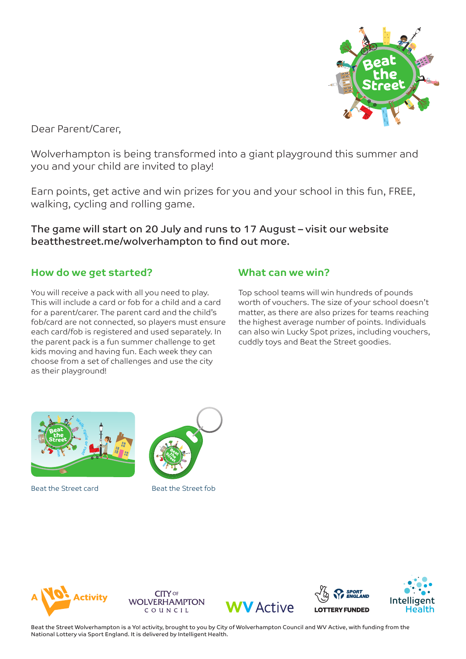

Dear Parent/Carer,

Wolverhampton is being transformed into a giant playground this summer and you and your child are invited to play!

Earn points, get active and win prizes for you and your school in this fun, FREE, walking, cycling and rolling game.

The game will start on 20 July and runs to 17 August – visit our website beatthestreet.me/wolverhampton to find out more.

## **How do we get started?**

You will receive a pack with all you need to play. This will include a card or fob for a child and a card for a parent/carer. The parent card and the child's fob/card are not connected, so players must ensure each card/fob is registered and used separately. In the parent pack is a fun summer challenge to get kids moving and having fun. Each week they can choose from a set of challenges and use the city as their playground!

## **What can we win?**

Top school teams will win hundreds of pounds worth of vouchers. The size of your school doesn't matter, as there are also prizes for teams reaching the highest average number of points. Individuals can also win Lucky Spot prizes, including vouchers, cuddly toys and Beat the Street goodies.



Beat the Street card Beat the Street fob





Beat the Street Wolverhampton is a Yo! activity, brought to you by City of Wolverhampton Council and WV Active, with funding from the National Lottery via Sport England. It is delivered by Intelligent Health.